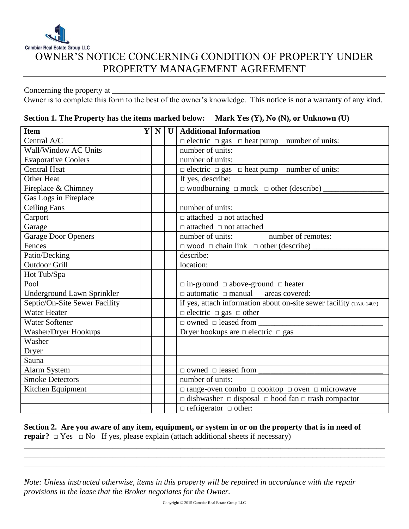

## OWNER'S NOTICE CONCERNING CONDITION OF PROPERTY UNDER PROPERTY MANAGEMENT AGREEMENT

Concerning the property at \_\_\_\_\_\_\_\_\_\_\_\_\_\_\_\_\_\_\_\_\_\_\_\_\_\_\_\_\_\_\_\_\_\_\_\_\_\_\_\_\_\_\_\_\_\_\_\_\_\_\_\_\_\_\_\_\_\_\_\_\_\_\_\_\_\_\_\_

Owner is to complete this form to the best of the owner's knowledge. This notice is not a warranty of any kind.

| <b>Item</b>                   | Y | $\mathbf N$ | $\mathbf U$ | <b>Additional Information</b>                                            |
|-------------------------------|---|-------------|-------------|--------------------------------------------------------------------------|
| Central A/C                   |   |             |             | $\Box$ electric $\Box$ gas $\Box$ heat pump number of units:             |
| Wall/Window AC Units          |   |             |             | number of units:                                                         |
| <b>Evaporative Coolers</b>    |   |             |             | number of units:                                                         |
| <b>Central Heat</b>           |   |             |             | $\Box$ electric $\Box$ gas $\Box$ heat pump number of units:             |
| <b>Other Heat</b>             |   |             |             | If yes, describe:                                                        |
| Fireplace & Chimney           |   |             |             | $\Box$ woodburning $\Box$ mock $\Box$ other (describe)                   |
| Gas Logs in Fireplace         |   |             |             |                                                                          |
| <b>Ceiling Fans</b>           |   |             |             | number of units:                                                         |
| Carport                       |   |             |             | $\hfill\Box$ attached $\hfill\Box$ not attached                          |
| Garage                        |   |             |             | $\Box$ attached $\Box$ not attached                                      |
| Garage Door Openers           |   |             |             | number of units:<br>number of remotes:                                   |
| Fences                        |   |             |             | $\Box$ wood $\Box$ chain link $\Box$ other (describe)                    |
| Patio/Decking                 |   |             |             | describe:                                                                |
| <b>Outdoor Grill</b>          |   |             |             | location:                                                                |
| Hot Tub/Spa                   |   |             |             |                                                                          |
| Pool                          |   |             |             | $\Box$ in-ground $\Box$ above-ground $\Box$ heater                       |
| Underground Lawn Sprinkler    |   |             |             | $\Box$ automatic $\Box$ manual<br>areas covered:                         |
| Septic/On-Site Sewer Facility |   |             |             | if yes, attach information about on-site sewer facility (TAR-1407)       |
| <b>Water Heater</b>           |   |             |             | $\Box$ electric $\Box$ gas $\Box$ other                                  |
| <b>Water Softener</b>         |   |             |             | $\Box$ owned $\Box$ leased from                                          |
| Washer/Dryer Hookups          |   |             |             | Dryer hookups are $\Box$ electric $\Box$ gas                             |
| Washer                        |   |             |             |                                                                          |
| Dryer                         |   |             |             |                                                                          |
| Sauna                         |   |             |             |                                                                          |
| <b>Alarm System</b>           |   |             |             | $\Box$ owned $\Box$ leased from                                          |
| <b>Smoke Detectors</b>        |   |             |             | number of units:                                                         |
| Kitchen Equipment             |   |             |             | $\Box$ range-oven combo $\Box$ cooktop $\Box$ oven $\Box$ microwave      |
|                               |   |             |             | $\Box$ dishwasher $\Box$ disposal $\Box$ hood fan $\Box$ trash compactor |
|                               |   |             |             | $\Box$ refrigerator $\Box$ other:                                        |

## **Section 1. The Property has the items marked below: Mark Yes (Y), No (N), or Unknown (U)**

**Section 2. Are you aware of any item, equipment, or system in or on the property that is in need of repair?**  $\Box$  Yes  $\Box$  No If yes, please explain (attach additional sheets if necessary) \_\_\_\_\_\_\_\_\_\_\_\_\_\_\_\_\_\_\_\_\_\_\_\_\_\_\_\_\_\_\_\_\_\_\_\_\_\_\_\_\_\_\_\_\_\_\_\_\_\_\_\_\_\_\_\_\_\_\_\_\_\_\_\_\_\_\_\_\_\_\_\_\_\_\_\_\_\_\_\_\_\_\_\_\_\_\_\_\_\_

*Note: Unless instructed otherwise, items in this property will be repaired in accordance with the repair provisions in the lease that the Broker negotiates for the Owner.* 

\_\_\_\_\_\_\_\_\_\_\_\_\_\_\_\_\_\_\_\_\_\_\_\_\_\_\_\_\_\_\_\_\_\_\_\_\_\_\_\_\_\_\_\_\_\_\_\_\_\_\_\_\_\_\_\_\_\_\_\_\_\_\_\_\_\_\_\_\_\_\_\_\_\_\_\_\_\_\_\_\_\_\_\_\_\_\_\_\_\_ \_\_\_\_\_\_\_\_\_\_\_\_\_\_\_\_\_\_\_\_\_\_\_\_\_\_\_\_\_\_\_\_\_\_\_\_\_\_\_\_\_\_\_\_\_\_\_\_\_\_\_\_\_\_\_\_\_\_\_\_\_\_\_\_\_\_\_\_\_\_\_\_\_\_\_\_\_\_\_\_\_\_\_\_\_\_\_\_\_\_